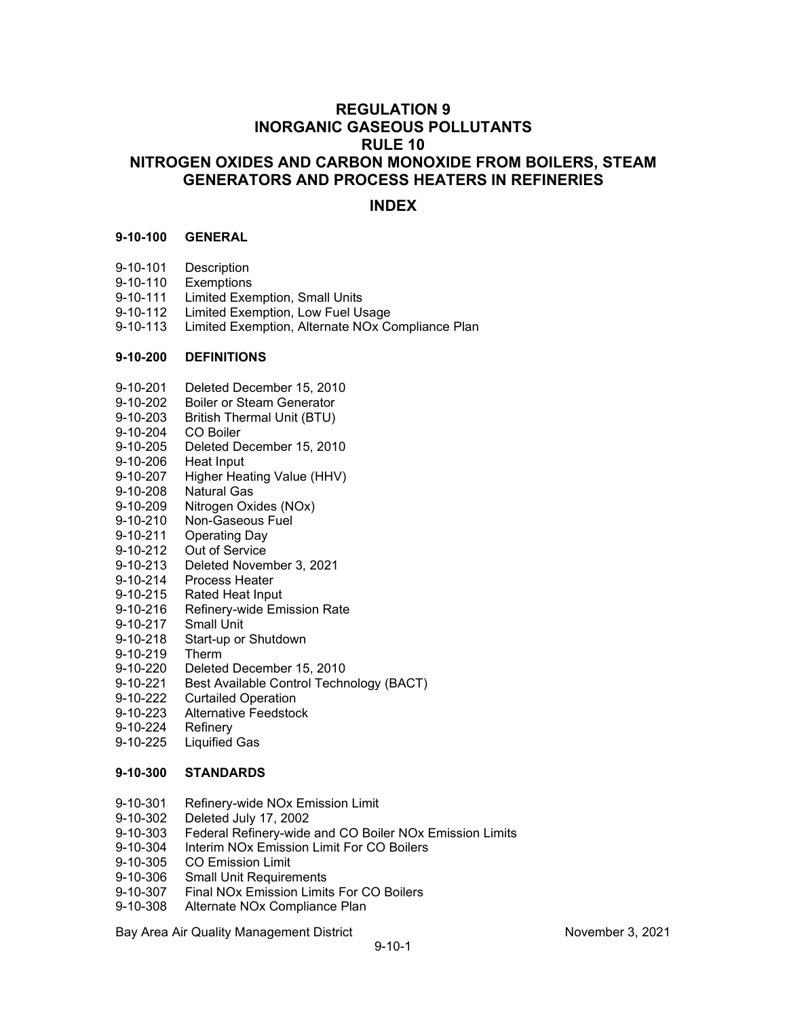# **REGULATION 9 INORGANIC GASEOUS POLLUTANTS RULE 10 NITROGEN OXIDES AND CARBON MONOXIDE FROM BOILERS, STEAM GENERATORS AND PROCESS HEATERS IN REFINERIES**

# **INDEX**

#### **9-10-100 GENERAL**

- 9-10-101 Description<br>9-10-110 Exemptions
- Exemptions
- 9-10-111 Limited Exemption, Small Units
- 9-10-112 Limited Exemption, Low Fuel Usage
- 9-10-113 Limited Exemption, Alternate NOx Compliance Plan

## **9-10-200 DEFINITIONS**

- 9-10-201 Deleted December 15, 2010
- 9-10-202 Boiler or Steam Generator<br>9-10-203 British Thermal Unit (BTU)
- British Thermal Unit (BTU)
- 9-10-204 CO Boiler
- 9-10-205 Deleted December 15, 2010
- 9-10-206 Heat Input
- 9-10-207 Higher Heating Value (HHV)
- 9-10-208 Natural Gas
- 9-10-209 Nitrogen Oxides (NOx)
- 9-10-210 Non-Gaseous Fuel
- 9-10-211 Operating Day<br>9-10-212 Out of Service
- Out of Service
- 9-10-213 Deleted November 3, 2021
- 9-10-214 Process Heater
- 9-10-215 Rated Heat Input
- 9-10-216 Refinery-wide Emission Rate
- 9-10-217 Small Unit
- 9-10-218 Start-up or Shutdown
- 9-10-219 Therm
- 9-10-220 Deleted December 15, 2010<br>9-10-221 Best Available Control Techr
- Best Available Control Technology (BACT)
- 9-10-222 Curtailed Operation<br>9-10-223 Alternative Feedstoo
- Alternative Feedstock<br>Refinery
- 9-10-224
- 9-10-225 Liquified Gas

# **9-10-300 STANDARDS**

- 9-10-301 Refinery-wide NOx Emission Limit<br>9-10-302 Deleted July 17, 2002
- 9-10-302 Deleted July 17, 2002
- Federal Refinery-wide and CO Boiler NOx Emission Limits
- 9-10-304 Interim NOx Emission Limit For CO Boilers
- 9-10-305 CO Emission Limit
- 9-10-306 Small Unit Requirements
- 9-10-307 Final NOx Emission Limits For CO Boilers
- 9-10-308 Alternate NOx Compliance Plan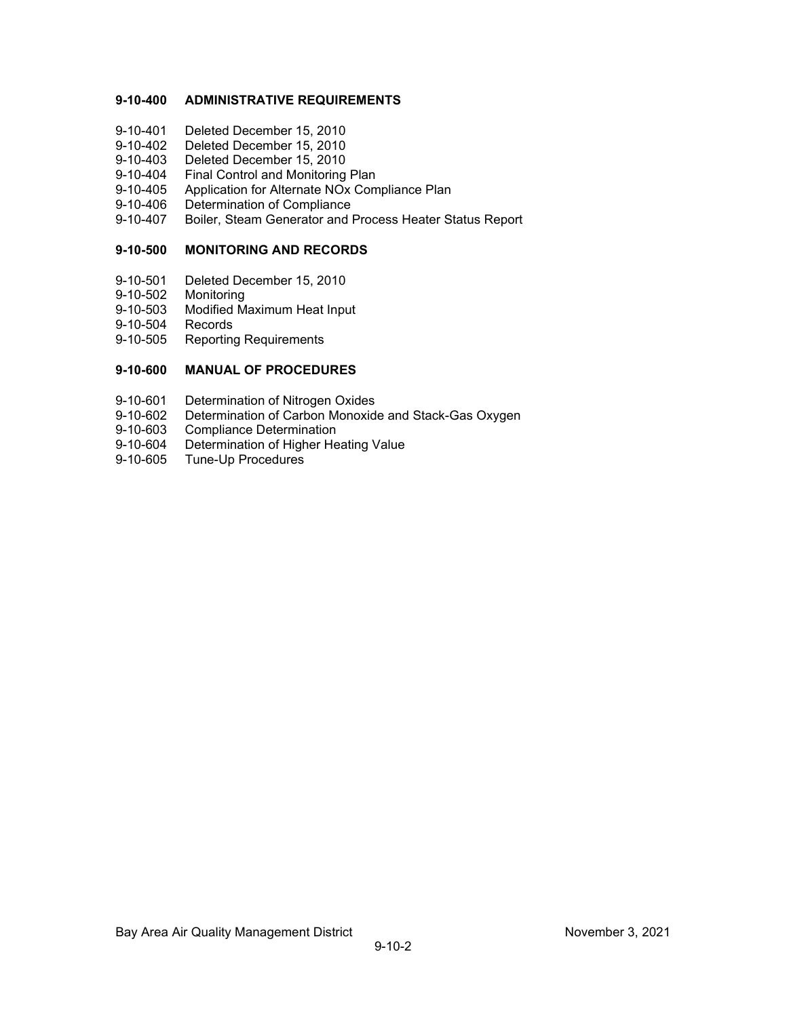# **9-10-400 ADMINISTRATIVE REQUIREMENTS**

- 9-10-401 Deleted December 15, 2010
- 9-10-402 Deleted December 15, 2010
- 9-10-403 Deleted December 15, 2010<br>9-10-404 Final Control and Monitoring
- 9-10-404 Final Control and Monitoring Plan<br>9-10-405 Application for Alternate NOx Com
- 9-10-405 Application for Alternate NOx Compliance Plan<br>9-10-406 Determination of Compliance
- 9-10-406 Determination of Compliance<br>9-10-407 Boiler, Steam Generator and I
- 9-10-407 Boiler, Steam Generator and Process Heater Status Report

# **9-10-500 MONITORING AND RECORDS**

- 9-10-501 Deleted December 15, 2010
- 9-10-502 Monitoring
- 9-10-503 Modified Maximum Heat Input
- 9-10-504 Records
- 9-10-505 Reporting Requirements

# **9-10-600 MANUAL OF PROCEDURES**

- 9-10-601 Determination of Nitrogen Oxides
- 9-10-602 Determination of Carbon Monoxide and Stack-Gas Oxygen
- 9-10-603 Compliance Determination<br>9-10-604 Determination of Higher He
- 9-10-604 Determination of Higher Heating Value<br>9-10-605 Tune-Up Procedures
- Tune-Up Procedures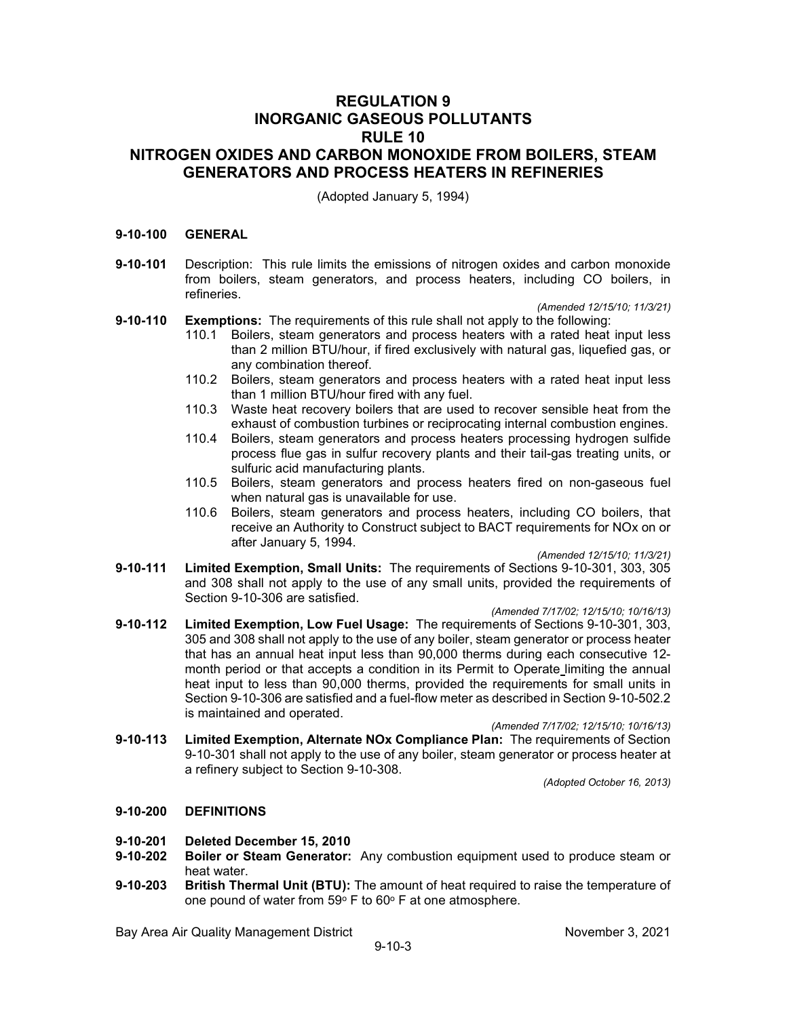# **REGULATION 9 INORGANIC GASEOUS POLLUTANTS RULE 10 NITROGEN OXIDES AND CARBON MONOXIDE FROM BOILERS, STEAM GENERATORS AND PROCESS HEATERS IN REFINERIES**

(Adopted January 5, 1994)

#### **9-10-100 GENERAL**

**9-10-101** Description: This rule limits the emissions of nitrogen oxides and carbon monoxide from boilers, steam generators, and process heaters, including CO boilers, in refineries.

*(Amended 12/15/10; 11/3/21)*

- **9-10-110 Exemptions:** The requirements of this rule shall not apply to the following:
	- 110.1 Boilers, steam generators and process heaters with a rated heat input less than 2 million BTU/hour, if fired exclusively with natural gas, liquefied gas, or any combination thereof.
	- 110.2 Boilers, steam generators and process heaters with a rated heat input less than 1 million BTU/hour fired with any fuel.
	- 110.3 Waste heat recovery boilers that are used to recover sensible heat from the exhaust of combustion turbines or reciprocating internal combustion engines.
	- 110.4 Boilers, steam generators and process heaters processing hydrogen sulfide process flue gas in sulfur recovery plants and their tail-gas treating units, or sulfuric acid manufacturing plants.
	- 110.5 Boilers, steam generators and process heaters fired on non-gaseous fuel when natural gas is unavailable for use.
	- 110.6 Boilers, steam generators and process heaters, including CO boilers, that receive an Authority to Construct subject to BACT requirements for NOx on or after January 5, 1994.

*(Amended 12/15/10; 11/3/21)*

- **9-10-111 Limited Exemption, Small Units:** The requirements of Sections 9-10-301, 303, 305 and 308 shall not apply to the use of any small units, provided the requirements of Section 9-10-306 are satisfied.
- *(Amended 7/17/02; 12/15/10; 10/16/13)* **9-10-112 Limited Exemption, Low Fuel Usage:** The requirements of Sections 9-10-301, 303,
- 305 and 308 shall not apply to the use of any boiler, steam generator or process heater that has an annual heat input less than 90,000 therms during each consecutive 12 month period or that accepts a condition in its Permit to Operate limiting the annual heat input to less than 90,000 therms, provided the requirements for small units in Section 9-10-306 are satisfied and a fuel-flow meter as described in Section 9-10-502.2 is maintained and operated.

*(Amended 7/17/02; 12/15/10; 10/16/13)*

**9-10-113 Limited Exemption, Alternate NOx Compliance Plan:** The requirements of Section 9-10-301 shall not apply to the use of any boiler, steam generator or process heater at a refinery subject to Section 9-10-308.

*(Adopted October 16, 2013)*

#### **9-10-200 DEFINITIONS**

- **9-10-201 Deleted December 15, 2010**
- **Boiler or Steam Generator:** Any combustion equipment used to produce steam or heat water.
- **9-10-203 British Thermal Unit (BTU):** The amount of heat required to raise the temperature of one pound of water from  $59^{\circ}$  F to  $60^{\circ}$  F at one atmosphere.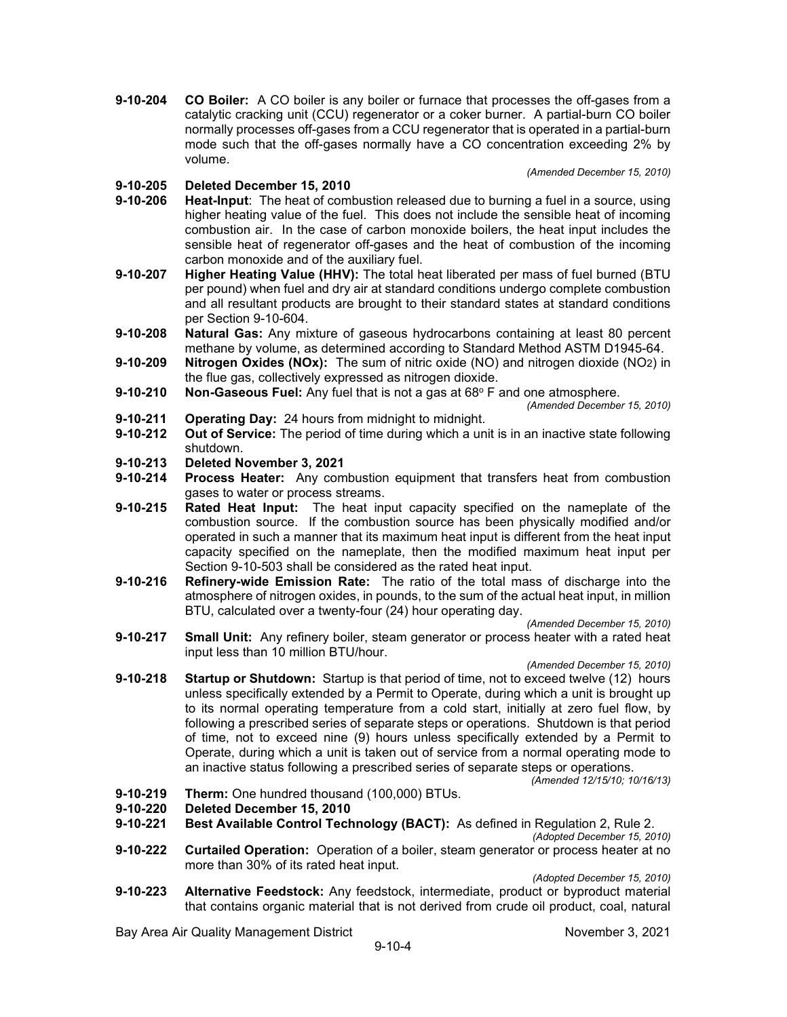**9-10-204 CO Boiler:** A CO boiler is any boiler or furnace that processes the off-gases from a catalytic cracking unit (CCU) regenerator or a coker burner. A partial-burn CO boiler normally processes off-gases from a CCU regenerator that is operated in a partial-burn mode such that the off-gases normally have a CO concentration exceeding 2% by volume.

**9-10-205 Deleted December 15, 2010**

- **9-10-206 Heat-Input**: The heat of combustion released due to burning a fuel in a source, using higher heating value of the fuel. This does not include the sensible heat of incoming combustion air. In the case of carbon monoxide boilers, the heat input includes the sensible heat of regenerator off-gases and the heat of combustion of the incoming carbon monoxide and of the auxiliary fuel.
- **9-10-207 Higher Heating Value (HHV):** The total heat liberated per mass of fuel burned (BTU per pound) when fuel and dry air at standard conditions undergo complete combustion and all resultant products are brought to their standard states at standard conditions per Section 9-10-604.
- **9-10-208 Natural Gas:** Any mixture of gaseous hydrocarbons containing at least 80 percent methane by volume, as determined according to Standard Method ASTM D1945-64.
- **9-10-209 Nitrogen Oxides (NOx):** The sum of nitric oxide (NO) and nitrogen dioxide (NO2) in the flue gas, collectively expressed as nitrogen dioxide.
- **9-10-210 Non-Gaseous Fuel:** Any fuel that is not a gas at 68° F and one atmosphere.

*(Amended December 15, 2010)*

*(Amended December 15, 2010)*

- **9-10-211 Operating Day:** 24 hours from midnight to midnight.<br>**9-10-212 Out of Service:** The period of time during which a uni
- **Out of Service:** The period of time during which a unit is in an inactive state following shutdown.
- **9-10-213 Deleted November 3, 2021**
- **9-10-214 Process Heater:** Any combustion equipment that transfers heat from combustion gases to water or process streams.
- **9-10-215 Rated Heat Input:** The heat input capacity specified on the nameplate of the combustion source. If the combustion source has been physically modified and/or operated in such a manner that its maximum heat input is different from the heat input capacity specified on the nameplate, then the modified maximum heat input per Section 9-10-503 shall be considered as the rated heat input.
- **9-10-216 Refinery-wide Emission Rate:** The ratio of the total mass of discharge into the atmosphere of nitrogen oxides, in pounds, to the sum of the actual heat input, in million BTU, calculated over a twenty-four (24) hour operating day.

*(Amended December 15, 2010)*

**9-10-217 Small Unit:** Any refinery boiler, steam generator or process heater with a rated heat input less than 10 million BTU/hour.

*(Amended December 15, 2010)*

**9-10-218 Startup or Shutdown:** Startup is that period of time, not to exceed twelve (12) hours unless specifically extended by a Permit to Operate, during which a unit is brought up to its normal operating temperature from a cold start, initially at zero fuel flow, by following a prescribed series of separate steps or operations. Shutdown is that period of time, not to exceed nine (9) hours unless specifically extended by a Permit to Operate, during which a unit is taken out of service from a normal operating mode to an inactive status following a prescribed series of separate steps or operations.

*(Amended 12/15/10; 10/16/13)* 

- **9-10-219 Therm:** One hundred thousand (100,000) BTUs.
- **9-10-220 Deleted December 15, 2010**
- **9-10-221 Best Available Control Technology (BACT):** As defined in Regulation 2, Rule 2.

*(Adopted December 15, 2010)*

**9-10-222 Curtailed Operation:** Operation of a boiler, steam generator or process heater at no more than 30% of its rated heat input.

*(Adopted December 15, 2010)*

**9-10-223 Alternative Feedstock:** Any feedstock, intermediate, product or byproduct material that contains organic material that is not derived from crude oil product, coal, natural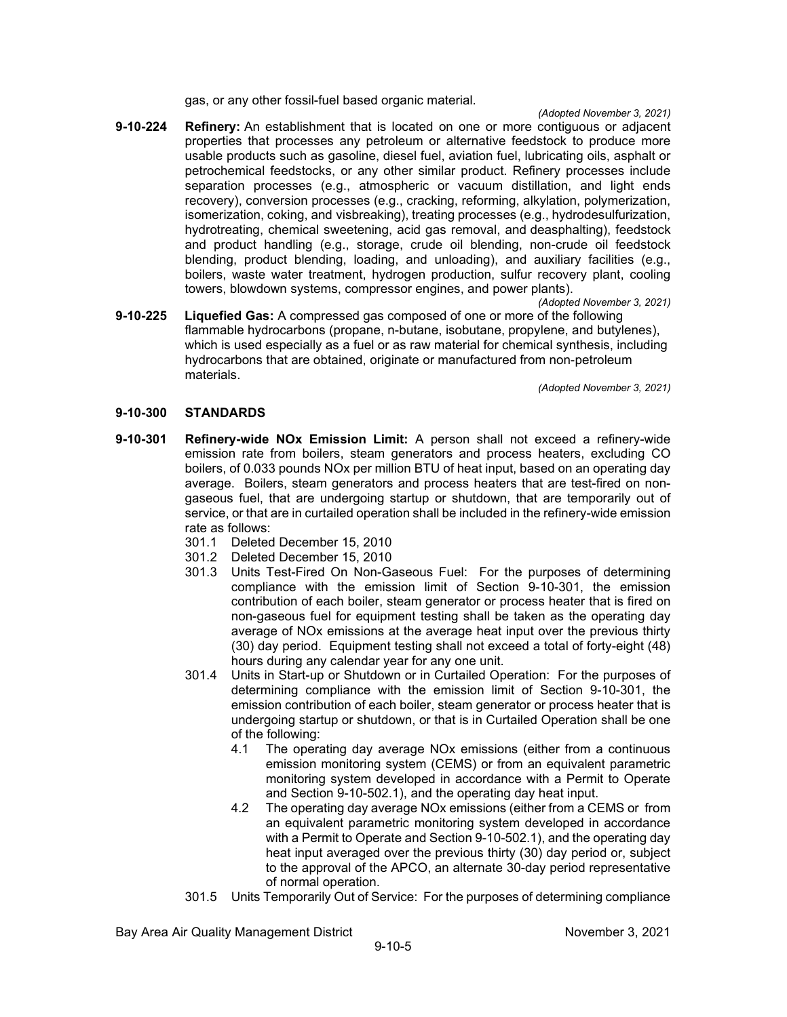gas, or any other fossil-fuel based organic material.

*(Adopted November 3, 2021)*

**9-10-224 Refinery:** An establishment that is located on one or more contiguous or adjacent properties that processes any petroleum or alternative feedstock to produce more usable products such as gasoline, diesel fuel, aviation fuel, lubricating oils, asphalt or petrochemical feedstocks, or any other similar product. Refinery processes include separation processes (e.g., atmospheric or vacuum distillation, and light ends recovery), conversion processes (e.g., cracking, reforming, alkylation, polymerization, isomerization, coking, and visbreaking), treating processes (e.g., hydrodesulfurization, hydrotreating, chemical sweetening, acid gas removal, and deasphalting), feedstock and product handling (e.g., storage, crude oil blending, non-crude oil feedstock blending, product blending, loading, and unloading), and auxiliary facilities (e.g., boilers, waste water treatment, hydrogen production, sulfur recovery plant, cooling towers, blowdown systems, compressor engines, and power plants).

*(Adopted November 3, 2021)*

**9-10-225 Liquefied Gas:** A compressed gas composed of one or more of the following flammable hydrocarbons (propane, n-butane, isobutane, propylene, and butylenes), which is used especially as a fuel or as raw material for chemical synthesis, including hydrocarbons that are obtained, originate or manufactured from non-petroleum materials.

*(Adopted November 3, 2021)*

# **9-10-300 STANDARDS**

- **9-10-301 Refinery-wide NOx Emission Limit:** A person shall not exceed a refinery-wide emission rate from boilers, steam generators and process heaters, excluding CO boilers, of 0.033 pounds NOx per million BTU of heat input, based on an operating day average. Boilers, steam generators and process heaters that are test-fired on nongaseous fuel, that are undergoing startup or shutdown, that are temporarily out of service, or that are in curtailed operation shall be included in the refinery-wide emission rate as follows:
	- 301.1 Deleted December 15, 2010
	- 301.2 Deleted December 15, 2010
	- 301.3 Units Test-Fired On Non-Gaseous Fuel: For the purposes of determining compliance with the emission limit of Section 9-10-301, the emission contribution of each boiler, steam generator or process heater that is fired on non-gaseous fuel for equipment testing shall be taken as the operating day average of NOx emissions at the average heat input over the previous thirty (30) day period. Equipment testing shall not exceed a total of forty-eight (48) hours during any calendar year for any one unit.
	- 301.4 Units in Start-up or Shutdown or in Curtailed Operation: For the purposes of determining compliance with the emission limit of Section 9-10-301, the emission contribution of each boiler, steam generator or process heater that is undergoing startup or shutdown, or that is in Curtailed Operation shall be one of the following:
		- 4.1 The operating day average NOx emissions (either from a continuous emission monitoring system (CEMS) or from an equivalent parametric monitoring system developed in accordance with a Permit to Operate and Section 9-10-502.1), and the operating day heat input.
		- 4.2 The operating day average NOx emissions (either from a CEMS or from an equivalent parametric monitoring system developed in accordance with a Permit to Operate and Section 9-10-502.1), and the operating day heat input averaged over the previous thirty (30) day period or, subject to the approval of the APCO, an alternate 30-day period representative of normal operation.
	- 301.5 Units Temporarily Out of Service: For the purposes of determining compliance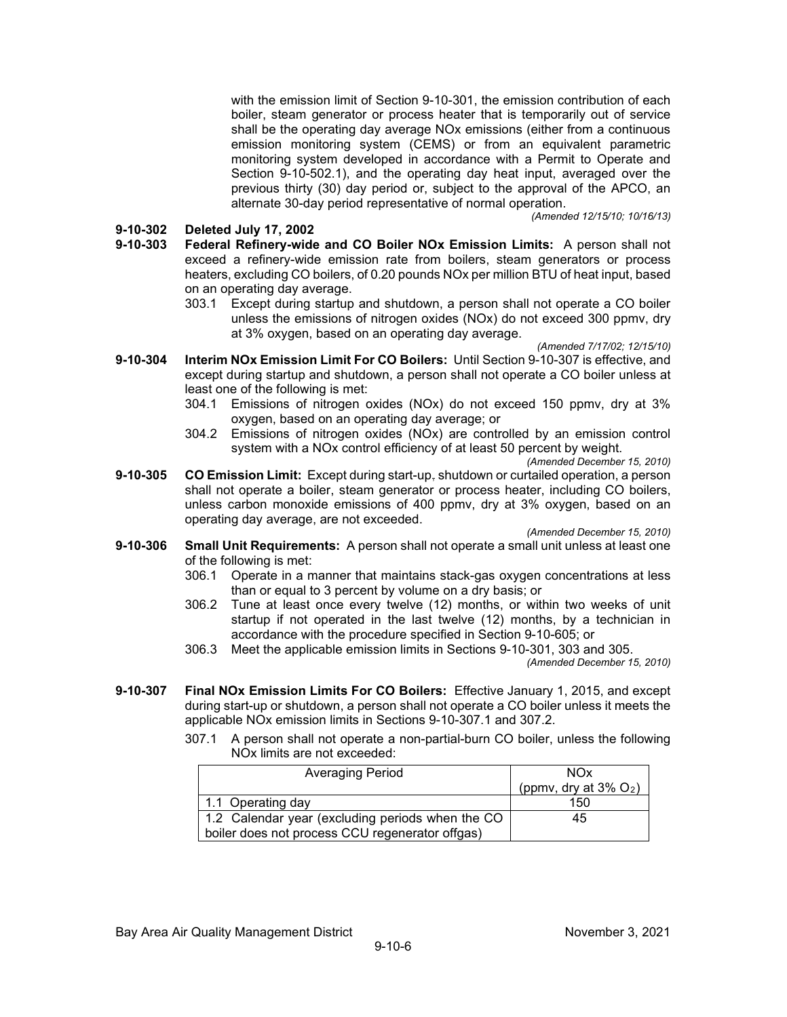with the emission limit of Section 9-10-301, the emission contribution of each boiler, steam generator or process heater that is temporarily out of service shall be the operating day average NOx emissions (either from a continuous emission monitoring system (CEMS) or from an equivalent parametric monitoring system developed in accordance with a Permit to Operate and Section 9-10-502.1), and the operating day heat input, averaged over the previous thirty (30) day period or, subject to the approval of the APCO, an alternate 30-day period representative of normal operation.

#### **9-10-302 Deleted July 17, 2002**

- **9-10-303 Federal Refinery-wide and CO Boiler NOx Emission Limits:** A person shall not exceed a refinery-wide emission rate from boilers, steam generators or process heaters, excluding CO boilers, of 0.20 pounds NOx per million BTU of heat input, based on an operating day average.
	- 303.1 Except during startup and shutdown, a person shall not operate a CO boiler unless the emissions of nitrogen oxides (NOx) do not exceed 300 ppmv, dry at 3% oxygen, based on an operating day average.

*(Amended 7/17/02; 12/15/10)*

*(Amended 12/15/10; 10/16/13)*

- **9-10-304 Interim NOx Emission Limit For CO Boilers:** Until Section 9-10-307 is effective, and except during startup and shutdown, a person shall not operate a CO boiler unless at least one of the following is met:
	- 304.1 Emissions of nitrogen oxides (NOx) do not exceed 150 ppmv, dry at 3% oxygen, based on an operating day average; or
	- 304.2 Emissions of nitrogen oxides (NOx) are controlled by an emission control system with a NOx control efficiency of at least 50 percent by weight.

*(Amended December 15, 2010)*

**9-10-305 CO Emission Limit:** Except during start-up, shutdown or curtailed operation, a person shall not operate a boiler, steam generator or process heater, including CO boilers, unless carbon monoxide emissions of 400 ppmv, dry at 3% oxygen, based on an operating day average, are not exceeded.

*(Amended December 15, 2010)*

- **9-10-306 Small Unit Requirements:** A person shall not operate a small unit unless at least one of the following is met:
	- 306.1 Operate in a manner that maintains stack-gas oxygen concentrations at less than or equal to 3 percent by volume on a dry basis; or
	- 306.2 Tune at least once every twelve (12) months, or within two weeks of unit startup if not operated in the last twelve (12) months, by a technician in accordance with the procedure specified in Section 9-10-605; or
	- 306.3 Meet the applicable emission limits in Sections 9-10-301, 303 and 305. *(Amended December 15, 2010)*
- **9-10-307 Final NOx Emission Limits For CO Boilers:** Effective January 1, 2015, and except during start-up or shutdown, a person shall not operate a CO boiler unless it meets the applicable NOx emission limits in Sections 9-10-307.1 and 307.2.
	- 307.1 A person shall not operate a non-partial-burn CO boiler, unless the following NOx limits are not exceeded:

| <b>Averaging Period</b>                          | <b>NOx</b>                           |
|--------------------------------------------------|--------------------------------------|
|                                                  | (ppmv, dry at $3\%$ O <sub>2</sub> ) |
| 1.1 Operating day                                | 150                                  |
| 1.2 Calendar year (excluding periods when the CO | 45                                   |
| boiler does not process CCU regenerator offgas)  |                                      |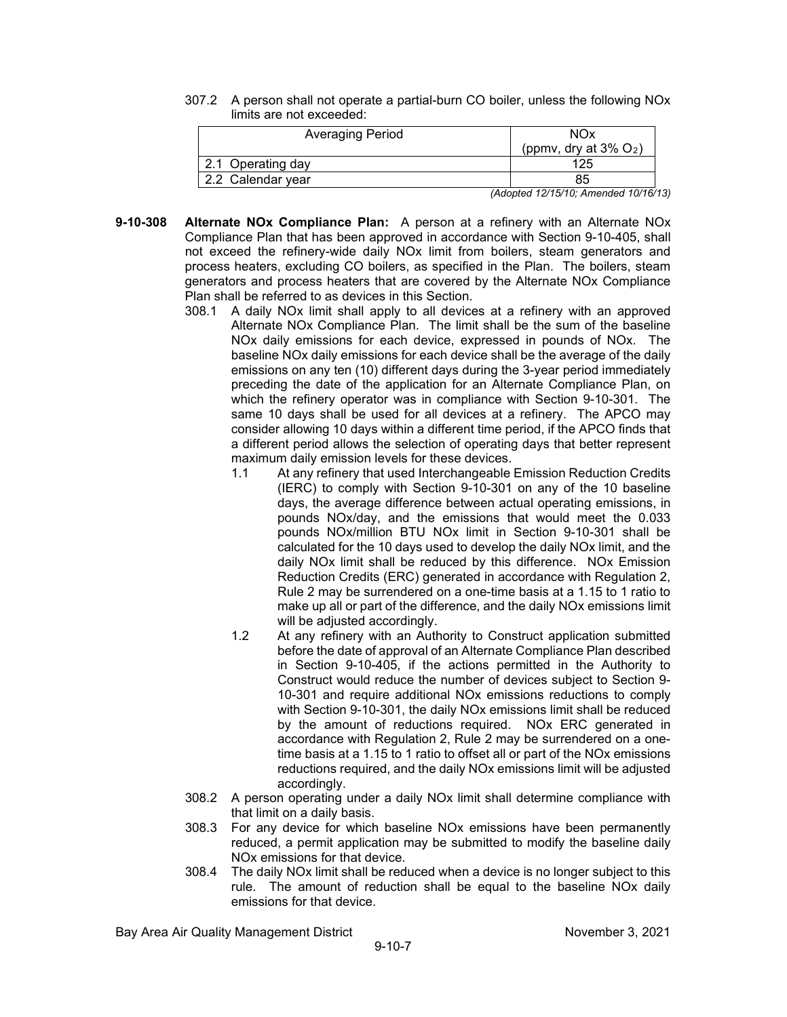307.2 A person shall not operate a partial-burn CO boiler, unless the following NOx limits are not exceeded:

| NOx                                  |
|--------------------------------------|
| (ppmv, dry at $3\%$ O <sub>2</sub> ) |
| 125                                  |
| 85                                   |
|                                      |

*(Adopted 12/15/10; Amended 10/16/13)*

- **9-10-308 Alternate NOx Compliance Plan:** A person at a refinery with an Alternate NOx Compliance Plan that has been approved in accordance with Section 9-10-405, shall not exceed the refinery-wide daily NOx limit from boilers, steam generators and process heaters, excluding CO boilers, as specified in the Plan. The boilers, steam generators and process heaters that are covered by the Alternate NOx Compliance Plan shall be referred to as devices in this Section.
	- 308.1 A daily NOx limit shall apply to all devices at a refinery with an approved Alternate NOx Compliance Plan. The limit shall be the sum of the baseline NOx daily emissions for each device, expressed in pounds of NOx. The baseline NOx daily emissions for each device shall be the average of the daily emissions on any ten (10) different days during the 3-year period immediately preceding the date of the application for an Alternate Compliance Plan, on which the refinery operator was in compliance with Section 9-10-301. The same 10 days shall be used for all devices at a refinery. The APCO may consider allowing 10 days within a different time period, if the APCO finds that a different period allows the selection of operating days that better represent maximum daily emission levels for these devices.
		- 1.1 At any refinery that used Interchangeable Emission Reduction Credits (IERC) to comply with Section 9-10-301 on any of the 10 baseline days, the average difference between actual operating emissions, in pounds NOx/day, and the emissions that would meet the 0.033 pounds NOx/million BTU NOx limit in Section 9-10-301 shall be calculated for the 10 days used to develop the daily NOx limit, and the daily NOx limit shall be reduced by this difference. NOx Emission Reduction Credits (ERC) generated in accordance with Regulation 2, Rule 2 may be surrendered on a one-time basis at a 1.15 to 1 ratio to make up all or part of the difference, and the daily NOx emissions limit will be adjusted accordingly.
		- 1.2 At any refinery with an Authority to Construct application submitted before the date of approval of an Alternate Compliance Plan described in Section 9-10-405, if the actions permitted in the Authority to Construct would reduce the number of devices subject to Section 9- 10-301 and require additional NOx emissions reductions to comply with Section 9-10-301, the daily NOx emissions limit shall be reduced by the amount of reductions required. NOx ERC generated in accordance with Regulation 2, Rule 2 may be surrendered on a onetime basis at a 1.15 to 1 ratio to offset all or part of the NOx emissions reductions required, and the daily NOx emissions limit will be adjusted accordingly.
	- 308.2 A person operating under a daily NOx limit shall determine compliance with that limit on a daily basis.
	- 308.3 For any device for which baseline NOx emissions have been permanently reduced, a permit application may be submitted to modify the baseline daily NOx emissions for that device.
	- 308.4 The daily NOx limit shall be reduced when a device is no longer subject to this rule. The amount of reduction shall be equal to the baseline NOx daily emissions for that device.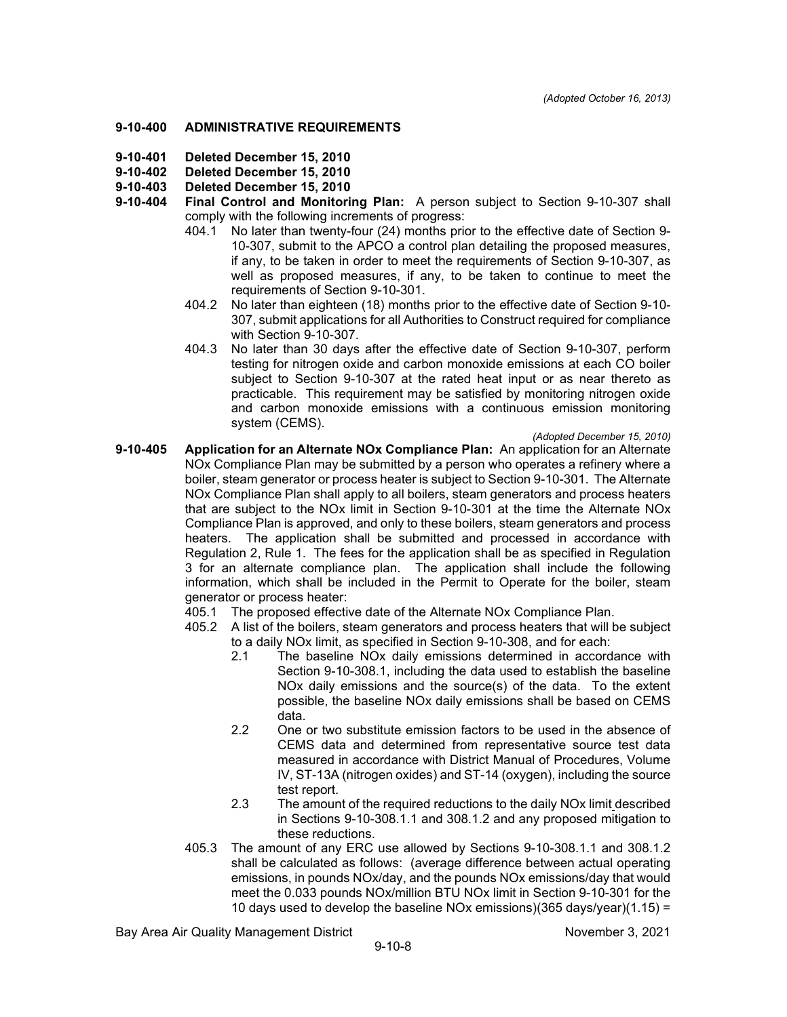#### **9-10-400 ADMINISTRATIVE REQUIREMENTS**

- **9-10-401 Deleted December 15, 2010**
- **Deleted December 15, 2010**
- **9-10-403 Deleted December 15, 2010**
	- **9-10-404 Final Control and Monitoring Plan:** A person subject to Section 9-10-307 shall comply with the following increments of progress:
		- 404.1 No later than twenty-four (24) months prior to the effective date of Section 9- 10-307, submit to the APCO a control plan detailing the proposed measures, if any, to be taken in order to meet the requirements of Section 9-10-307, as well as proposed measures, if any, to be taken to continue to meet the requirements of Section 9-10-301.
		- 404.2 No later than eighteen (18) months prior to the effective date of Section 9-10- 307, submit applications for all Authorities to Construct required for compliance with Section 9-10-307.
		- 404.3 No later than 30 days after the effective date of Section 9-10-307, perform testing for nitrogen oxide and carbon monoxide emissions at each CO boiler subject to Section 9-10-307 at the rated heat input or as near thereto as practicable. This requirement may be satisfied by monitoring nitrogen oxide and carbon monoxide emissions with a continuous emission monitoring system (CEMS).

*(Adopted December 15, 2010)*

- **9-10-405 Application for an Alternate NOx Compliance Plan:** An application for an Alternate NOx Compliance Plan may be submitted by a person who operates a refinery where a boiler, steam generator or process heater is subject to Section 9-10-301. The Alternate NOx Compliance Plan shall apply to all boilers, steam generators and process heaters that are subject to the NOx limit in Section 9-10-301 at the time the Alternate NOx Compliance Plan is approved, and only to these boilers, steam generators and process heaters. The application shall be submitted and processed in accordance with Regulation 2, Rule 1. The fees for the application shall be as specified in Regulation 3 for an alternate compliance plan. The application shall include the following information, which shall be included in the Permit to Operate for the boiler, steam generator or process heater:
	- 405.1 The proposed effective date of the Alternate NOx Compliance Plan.
	- 405.2 A list of the boilers, steam generators and process heaters that will be subject to a daily NOx limit, as specified in Section 9-10-308, and for each:<br>2.1 The baseline NOx daily emissions determined in accord
		- .<br>The baseline NOx daily emissions determined in accordance with Section 9-10-308.1, including the data used to establish the baseline NOx daily emissions and the source(s) of the data. To the extent possible, the baseline NOx daily emissions shall be based on CEMS data.
		- 2.2 One or two substitute emission factors to be used in the absence of CEMS data and determined from representative source test data measured in accordance with District Manual of Procedures, Volume IV, ST-13A (nitrogen oxides) and ST-14 (oxygen), including the source test report.
		- 2.3 The amount of the required reductions to the daily NOx limit described in Sections 9-10-308.1.1 and 308.1.2 and any proposed mitigation to these reductions.
	- 405.3 The amount of any ERC use allowed by Sections 9-10-308.1.1 and 308.1.2 shall be calculated as follows: (average difference between actual operating emissions, in pounds NOx/day, and the pounds NOx emissions/day that would meet the 0.033 pounds NOx/million BTU NOx limit in Section 9-10-301 for the 10 days used to develop the baseline NOx emissions)(365 days/year)(1.15) =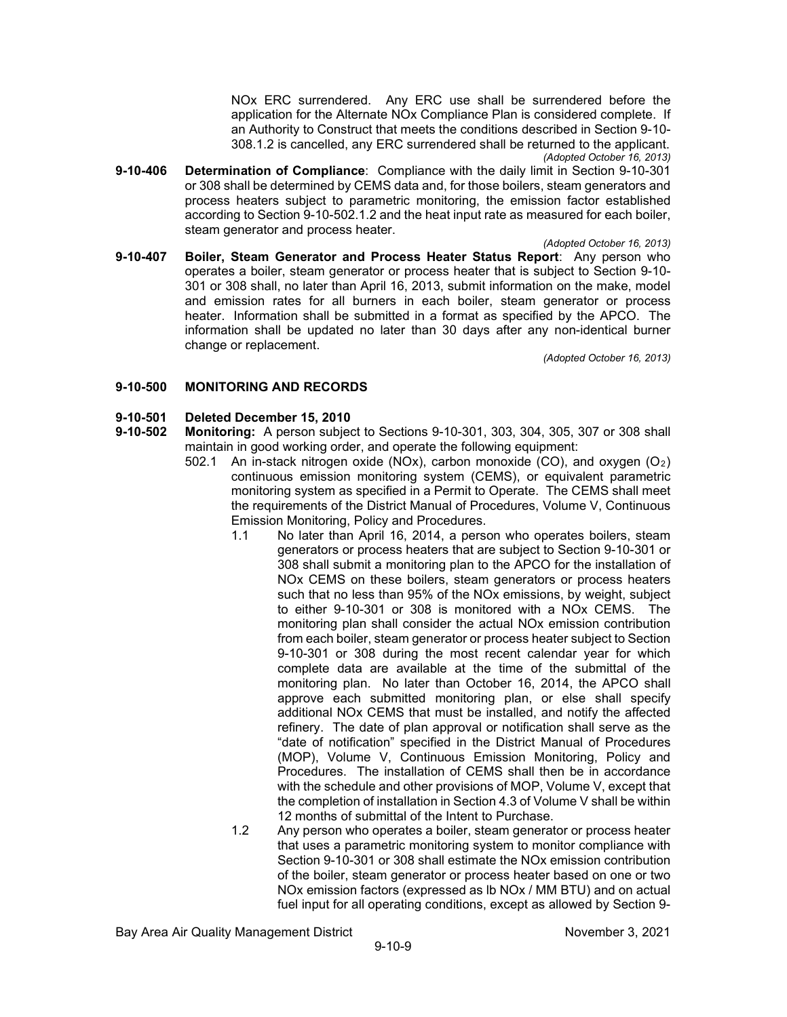NOx ERC surrendered. Any ERC use shall be surrendered before the application for the Alternate NOx Compliance Plan is considered complete. If an Authority to Construct that meets the conditions described in Section 9-10- 308.1.2 is cancelled, any ERC surrendered shall be returned to the applicant. *(Adopted October 16, 2013)*

**9-10-406 Determination of Compliance**: Compliance with the daily limit in Section 9-10-301 or 308 shall be determined by CEMS data and, for those boilers, steam generators and process heaters subject to parametric monitoring, the emission factor established according to Section 9-10-502.1.2 and the heat input rate as measured for each boiler, steam generator and process heater.

*(Adopted October 16, 2013)*

**9-10-407 Boiler, Steam Generator and Process Heater Status Report**: Any person who operates a boiler, steam generator or process heater that is subject to Section 9-10- 301 or 308 shall, no later than April 16, 2013, submit information on the make, model and emission rates for all burners in each boiler, steam generator or process heater. Information shall be submitted in a format as specified by the APCO. The information shall be updated no later than 30 days after any non-identical burner change or replacement.

*(Adopted October 16, 2013)*

## **9-10-500 MONITORING AND RECORDS**

# **9-10-501 Deleted December 15, 2010**

- **9-10-502 Monitoring:** A person subject to Sections 9-10-301, 303, 304, 305, 307 or 308 shall maintain in good working order, and operate the following equipment:
	- 502.1 An in-stack nitrogen oxide (NOx), carbon monoxide (CO), and oxygen  $(O_2)$ continuous emission monitoring system (CEMS), or equivalent parametric monitoring system as specified in a Permit to Operate. The CEMS shall meet the requirements of the District Manual of Procedures, Volume V, Continuous Emission Monitoring, Policy and Procedures.
		- 1.1 No later than April 16, 2014, a person who operates boilers, steam generators or process heaters that are subject to Section 9-10-301 or 308 shall submit a monitoring plan to the APCO for the installation of NOx CEMS on these boilers, steam generators or process heaters such that no less than 95% of the NOx emissions, by weight, subject to either 9-10-301 or 308 is monitored with a NOx CEMS. The monitoring plan shall consider the actual NOx emission contribution from each boiler, steam generator or process heater subject to Section 9-10-301 or 308 during the most recent calendar year for which complete data are available at the time of the submittal of the monitoring plan. No later than October 16, 2014, the APCO shall approve each submitted monitoring plan, or else shall specify additional NOx CEMS that must be installed, and notify the affected refinery. The date of plan approval or notification shall serve as the "date of notification" specified in the District Manual of Procedures (MOP), Volume V, Continuous Emission Monitoring, Policy and Procedures. The installation of CEMS shall then be in accordance with the schedule and other provisions of MOP, Volume V, except that the completion of installation in Section 4.3 of Volume V shall be within 12 months of submittal of the Intent to Purchase.

1.2 Any person who operates a boiler, steam generator or process heater that uses a parametric monitoring system to monitor compliance with Section 9-10-301 or 308 shall estimate the NOx emission contribution of the boiler, steam generator or process heater based on one or two NOx emission factors (expressed as lb NOx / MM BTU) and on actual fuel input for all operating conditions, except as allowed by Section 9-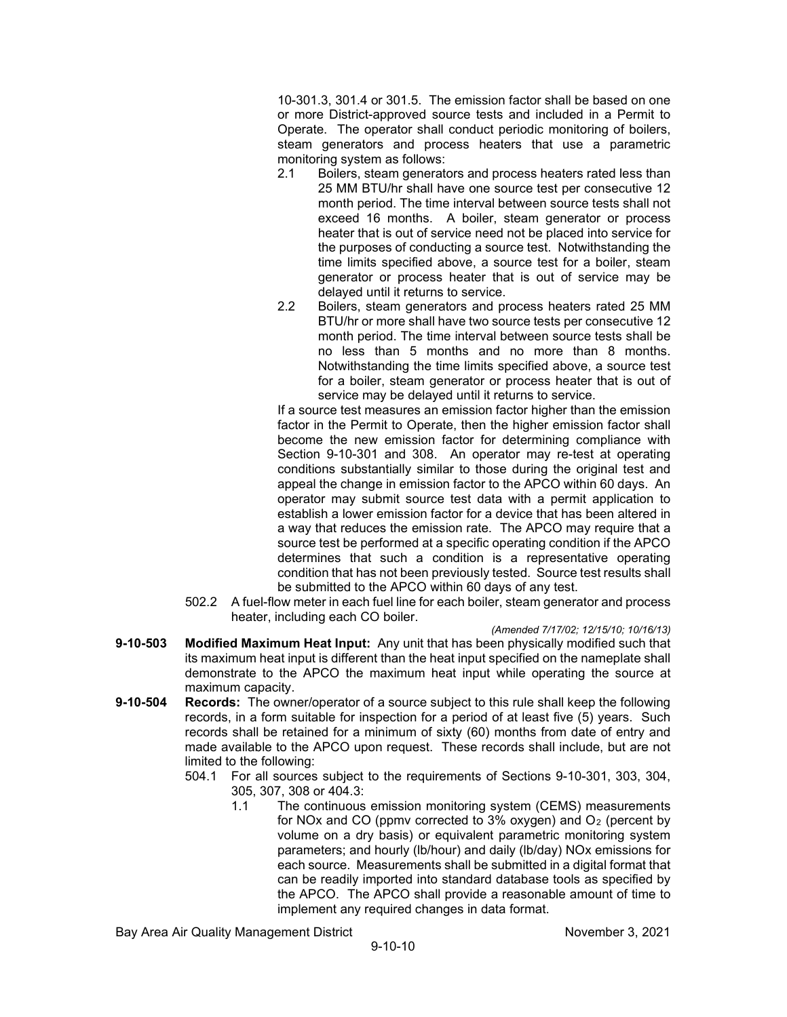10-301.3, 301.4 or 301.5. The emission factor shall be based on one or more District-approved source tests and included in a Permit to Operate. The operator shall conduct periodic monitoring of boilers, steam generators and process heaters that use a parametric monitoring system as follows:

- 2.1 Boilers, steam generators and process heaters rated less than 25 MM BTU/hr shall have one source test per consecutive 12 month period. The time interval between source tests shall not exceed 16 months. A boiler, steam generator or process heater that is out of service need not be placed into service for the purposes of conducting a source test. Notwithstanding the time limits specified above, a source test for a boiler, steam generator or process heater that is out of service may be delayed until it returns to service.
- 2.2 Boilers, steam generators and process heaters rated 25 MM BTU/hr or more shall have two source tests per consecutive 12 month period. The time interval between source tests shall be no less than 5 months and no more than 8 months. Notwithstanding the time limits specified above, a source test for a boiler, steam generator or process heater that is out of service may be delayed until it returns to service.

If a source test measures an emission factor higher than the emission factor in the Permit to Operate, then the higher emission factor shall become the new emission factor for determining compliance with Section 9-10-301 and 308. An operator may re-test at operating conditions substantially similar to those during the original test and appeal the change in emission factor to the APCO within 60 days. An operator may submit source test data with a permit application to establish a lower emission factor for a device that has been altered in a way that reduces the emission rate. The APCO may require that a source test be performed at a specific operating condition if the APCO determines that such a condition is a representative operating condition that has not been previously tested. Source test results shall be submitted to the APCO within 60 days of any test.

- 502.2 A fuel-flow meter in each fuel line for each boiler, steam generator and process heater, including each CO boiler.
- *(Amended 7/17/02; 12/15/10; 10/16/13)* **9-10-503 Modified Maximum Heat Input:** Any unit that has been physically modified such that its maximum heat input is different than the heat input specified on the nameplate shall demonstrate to the APCO the maximum heat input while operating the source at maximum capacity.
- **9-10-504 Records:** The owner/operator of a source subject to this rule shall keep the following records, in a form suitable for inspection for a period of at least five (5) years. Such records shall be retained for a minimum of sixty (60) months from date of entry and made available to the APCO upon request. These records shall include, but are not limited to the following:
	- 504.1 For all sources subject to the requirements of Sections 9-10-301, 303, 304, 305, 307, 308 or 404.3:
		- The continuous emission monitoring system (CEMS) measurements for NOx and CO (ppmv corrected to  $3\%$  oxygen) and O<sub>2</sub> (percent by volume on a dry basis) or equivalent parametric monitoring system parameters; and hourly (lb/hour) and daily (lb/day) NOx emissions for each source. Measurements shall be submitted in a digital format that can be readily imported into standard database tools as specified by the APCO. The APCO shall provide a reasonable amount of time to implement any required changes in data format.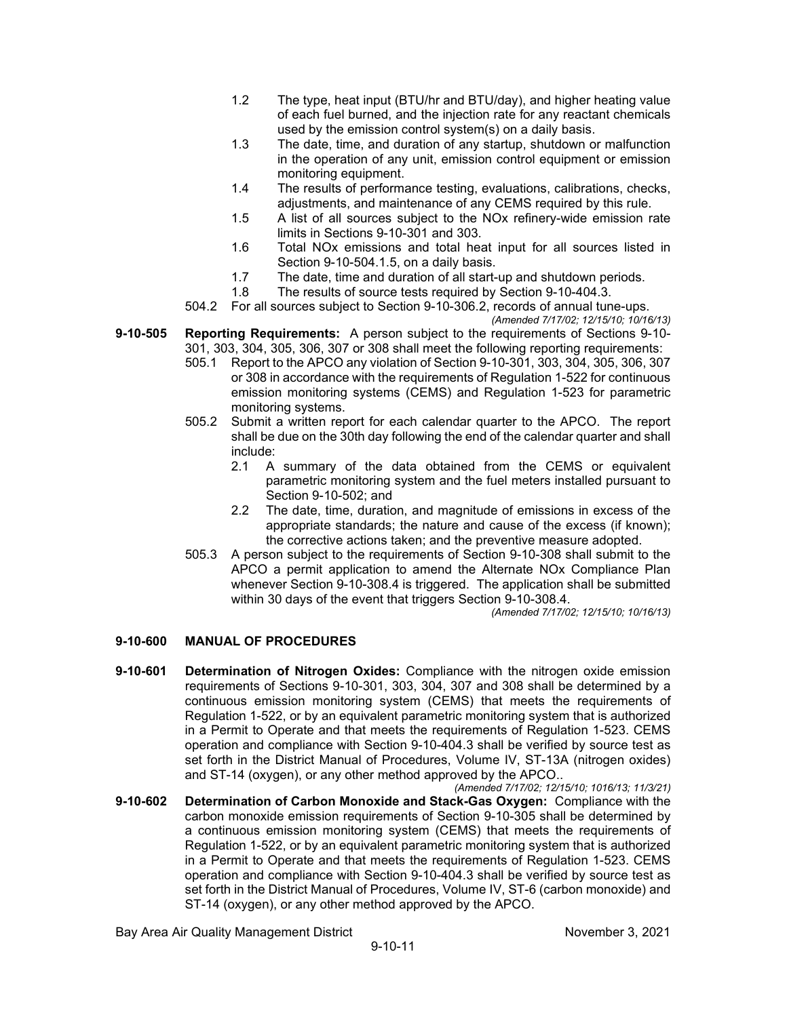- 1.2 The type, heat input (BTU/hr and BTU/day), and higher heating value of each fuel burned, and the injection rate for any reactant chemicals used by the emission control system(s) on a daily basis.
- 1.3 The date, time, and duration of any startup, shutdown or malfunction in the operation of any unit, emission control equipment or emission monitoring equipment.
- 1.4 The results of performance testing, evaluations, calibrations, checks, adjustments, and maintenance of any CEMS required by this rule.
- 1.5 A list of all sources subject to the NOx refinery-wide emission rate limits in Sections 9-10-301 and 303.
- 1.6 Total NOx emissions and total heat input for all sources listed in Section 9-10-504.1.5, on a daily basis.
- 1.7 The date, time and duration of all start-up and shutdown periods.
- 1.8 The results of source tests required by Section 9-10-404.3.
- 504.2 For all sources subject to Section 9-10-306.2, records of annual tune-ups. *(Amended 7/17/02; 12/15/10; 10/16/13)*
- **9-10-505 Reporting Requirements:** A person subject to the requirements of Sections 9-10- 301, 303, 304, 305, 306, 307 or 308 shall meet the following reporting requirements:
	- 505.1 Report to the APCO any violation of Section 9-10-301, 303, 304, 305, 306, 307 or 308 in accordance with the requirements of Regulation 1-522 for continuous emission monitoring systems (CEMS) and Regulation 1-523 for parametric monitoring systems.
	- 505.2 Submit a written report for each calendar quarter to the APCO. The report shall be due on the 30th day following the end of the calendar quarter and shall include:
		- 2.1 A summary of the data obtained from the CEMS or equivalent parametric monitoring system and the fuel meters installed pursuant to Section 9-10-502; and
		- 2.2 The date, time, duration, and magnitude of emissions in excess of the appropriate standards; the nature and cause of the excess (if known); the corrective actions taken; and the preventive measure adopted.
	- 505.3 A person subject to the requirements of Section 9-10-308 shall submit to the APCO a permit application to amend the Alternate NOx Compliance Plan whenever Section 9-10-308.4 is triggered. The application shall be submitted within 30 days of the event that triggers Section 9-10-308.4.

*(Amended 7/17/02; 12/15/10; 10/16/13)*

#### **9-10-600 MANUAL OF PROCEDURES**

**9-10-601 Determination of Nitrogen Oxides:** Compliance with the nitrogen oxide emission requirements of Sections 9-10-301, 303, 304, 307 and 308 shall be determined by a continuous emission monitoring system (CEMS) that meets the requirements of Regulation 1-522, or by an equivalent parametric monitoring system that is authorized in a Permit to Operate and that meets the requirements of Regulation 1-523. CEMS operation and compliance with Section 9-10-404.3 shall be verified by source test as set forth in the District Manual of Procedures, Volume IV, ST-13A (nitrogen oxides) and ST-14 (oxygen), or any other method approved by the APCO..

*(Amended 7/17/02; 12/15/10; 1016/13; 11/3/21)*

**9-10-602 Determination of Carbon Monoxide and Stack-Gas Oxygen:** Compliance with the carbon monoxide emission requirements of Section 9-10-305 shall be determined by a continuous emission monitoring system (CEMS) that meets the requirements of Regulation 1-522, or by an equivalent parametric monitoring system that is authorized in a Permit to Operate and that meets the requirements of Regulation 1-523. CEMS operation and compliance with Section 9-10-404.3 shall be verified by source test as set forth in the District Manual of Procedures, Volume IV, ST-6 (carbon monoxide) and ST-14 (oxygen), or any other method approved by the APCO.